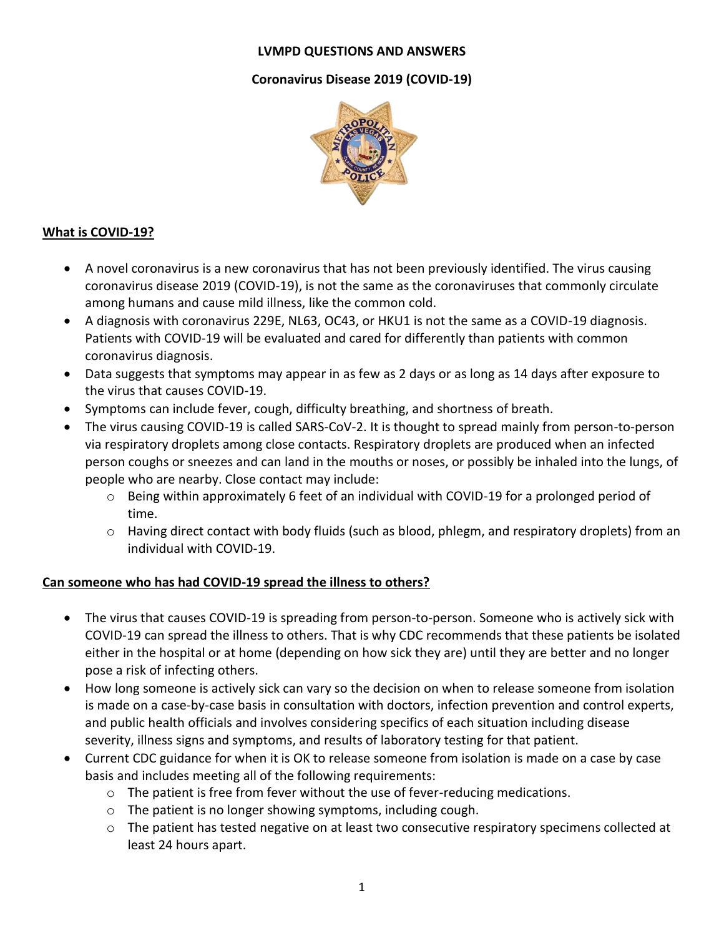#### **LVMPD QUESTIONS AND ANSWERS**

#### **Coronavirus Disease 2019 (COVID-19)**



#### **What is COVID-19?**

- A novel coronavirus is a new coronavirus that has not been previously identified. The virus causing coronavirus disease 2019 (COVID-19), is not the same as the coronaviruses that commonly circulate among humans and cause mild illness, like the common cold.
- A diagnosis with coronavirus 229E, NL63, OC43, or HKU1 is not the same as a COVID-19 diagnosis. Patients with COVID-19 will be evaluated and cared for differently than patients with common coronavirus diagnosis.
- Data suggests that symptoms may appear in as few as 2 days or as long as 14 days after exposure to the virus that causes COVID-19.
- Symptoms can include fever, cough, difficulty breathing, and shortness of breath.
- The virus causing COVID-19 is called SARS-CoV-2. It is thought to spread mainly from person-to-person via respiratory droplets among close contacts. Respiratory droplets are produced when an infected person coughs or sneezes and can land in the mouths or noses, or possibly be inhaled into the lungs, of people who are nearby. Close contact may include:
	- o Being within approximately 6 feet of an individual with COVID-19 for a prolonged period of time.
	- $\circ$  Having direct contact with body fluids (such as blood, phlegm, and respiratory droplets) from an individual with COVID-19.

## **Can someone who has had COVID-19 spread the illness to others?**

- The virus that causes COVID-19 is spreading from person-to-person. Someone who is actively sick with COVID-19 can spread the illness to others. That is why CDC recommends that these patients be isolated either in the hospital or at home (depending on how sick they are) until they are better and no longer pose a risk of infecting others.
- How long someone is actively sick can vary so the decision on when to release someone from isolation is made on a case-by-case basis in consultation with doctors, infection prevention and control experts, and public health officials and involves considering specifics of each situation including disease severity, illness signs and symptoms, and results of laboratory testing for that patient.
- Current CDC guidance for when it is OK to release someone from isolation is made on a case by case basis and includes meeting all of the following requirements:
	- o The patient is free from fever without the use of fever-reducing medications.
	- o The patient is no longer showing symptoms, including cough.
	- $\circ$  The patient has tested negative on at least two consecutive respiratory specimens collected at least 24 hours apart.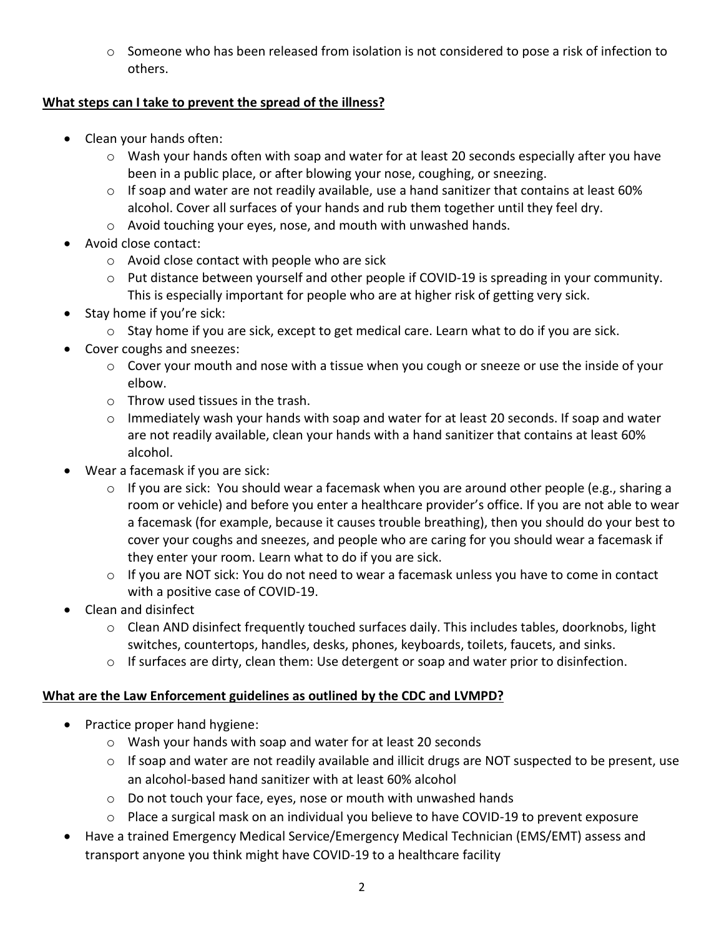o Someone who has been released from isolation is not considered to pose a risk of infection to others.

## **What steps can I take to prevent the spread of the illness?**

- Clean your hands often:
	- o Wash your hands often with soap and water for at least 20 seconds especially after you have been in a public place, or after blowing your nose, coughing, or sneezing.
	- o If soap and water are not readily available, use a hand sanitizer that contains at least 60% alcohol. Cover all surfaces of your hands and rub them together until they feel dry.
	- o Avoid touching your eyes, nose, and mouth with unwashed hands.
- Avoid close contact:
	- o Avoid close contact with people who are sick
	- o Put distance between yourself and other people if COVID-19 is spreading in your community. This is especially important for [people who are at higher risk of getting very sick.](https://www.cdc.gov/coronavirus/2019-ncov/specific-groups/high-risk-complications.html)
- Stay home if you're sick:
	- o Stay home if you are sick, except to get medical care. Learn [what to do if you are sick.](https://www.cdc.gov/coronavirus/2019-ncov/about/steps-when-sick.html)
- Cover coughs and sneezes:
	- o Cover your mouth and nose with a tissue when you cough or sneeze or use the inside of your elbow.
	- o Throw used tissues in the trash.
	- $\circ$  Immediately wash your hands with soap and water for at least 20 seconds. If soap and water are not readily available, clean your hands with a hand sanitizer that contains at least 60% alcohol.
- Wear a facemask if you are sick:
	- $\circ$  If you are sick: You should wear a facemask when you are around other people (e.g., sharing a room or vehicle) and before you enter a healthcare provider's office. If you are not able to wear a facemask (for example, because it causes trouble breathing), then you should do your best to cover your coughs and sneezes, and people who are caring for you should wear a facemask if they enter your room[. Learn what to do if you are sick.](https://www.cdc.gov/coronavirus/2019-ncov/about/steps-when-sick.html)
	- o If you are NOT sick: You do not need to wear a facemask unless you have to come in contact with a positive case of COVID-19.
- Clean and disinfect
	- $\circ$  Clean AND disinfect [frequently touched surfaces](https://www.cdc.gov/coronavirus/2019-ncov/community/home/cleaning-disinfection.html) daily. This includes tables, doorknobs, light switches, countertops, handles, desks, phones, keyboards, toilets, faucets, and sinks.
	- o If surfaces are dirty, clean them: Use detergent or soap and water prior to disinfection.

# **What are the Law Enforcement guidelines as outlined by the CDC and LVMPD?**

- Practice proper hand hygiene:
	- o Wash your hands with soap and water for at least 20 seconds
	- o If soap and water are not readily available and illicit drugs are NOT suspected to be present, use an alcohol-based hand sanitizer with at least 60% alcohol
	- o Do not touch your face, eyes, nose or mouth with unwashed hands
	- o Place a surgical mask on an individual you believe to have COVID-19 to prevent exposure
- Have a trained Emergency Medical Service/Emergency Medical Technician (EMS/EMT) assess and transport anyone you think might have COVID-19 to a healthcare facility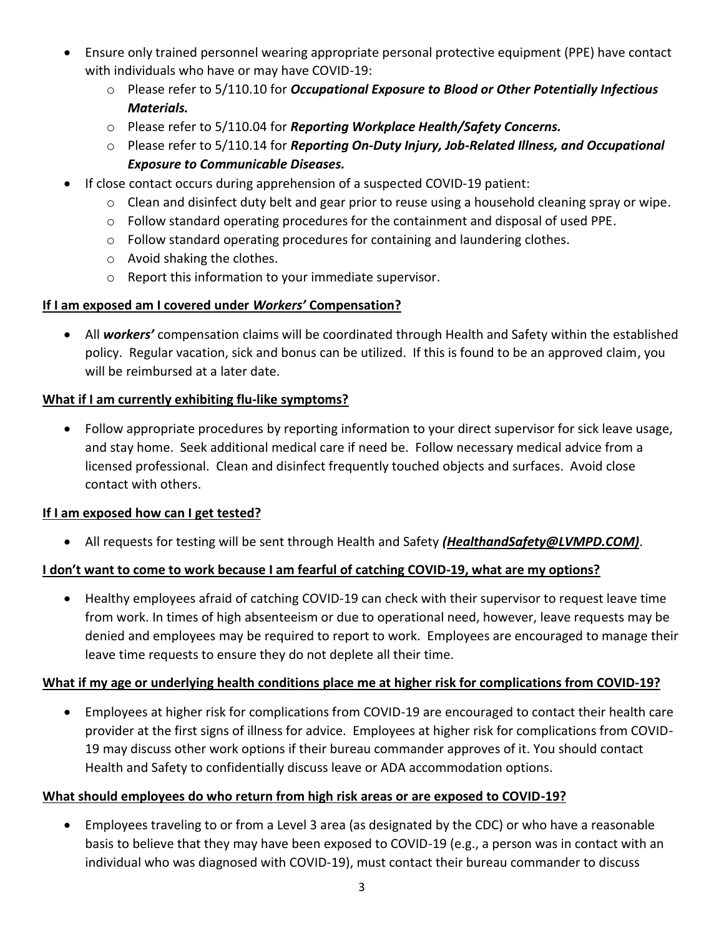- Ensure only trained personnel wearing appropriate personal protective equipment (PPE) have contact with individuals who have or may have COVID-19:
	- o Please refer to 5/110.10 for *Occupational Exposure to Blood or Other Potentially Infectious Materials.*
	- o Please refer to 5/110.04 for *Reporting Workplace Health/Safety Concerns.*
	- o Please refer to 5/110.14 for *Reporting On-Duty Injury, Job-Related Illness, and Occupational Exposure to Communicable Diseases.*
- If close contact occurs during apprehension of a suspected COVID-19 patient:
	- $\circ$  Clean and disinfect duty belt and gear prior to reuse using a household cleaning spray or wipe.
	- $\circ$  Follow standard operating procedures for the containment and disposal of used PPE.
	- o Follow standard operating procedures for containing and laundering clothes.
	- o Avoid shaking the clothes.
	- o Report this information to your immediate supervisor.

## **If I am exposed am I covered under** *Workers'* **Compensation?**

• All *workers'* compensation claims will be coordinated through Health and Safety within the established policy. Regular vacation, sick and bonus can be utilized. If this is found to be an approved claim, you will be reimbursed at a later date.

## **What if I am currently exhibiting flu-like symptoms?**

• Follow appropriate procedures by reporting information to your direct supervisor for sick leave usage, and stay home. Seek additional medical care if need be. Follow necessary medical advice from a licensed professional. Clean and disinfect frequently touched objects and surfaces. Avoid close contact with others.

## **If I am exposed how can I get tested?**

• All requests for testing will be sent through Health and Safety *(HealthandSafety@LVMPD.COM)*.

## **I don't want to come to work because I am fearful of catching COVID-19, what are my options?**

• Healthy employees afraid of catching COVID-19 can check with their supervisor to request leave time from work. In times of high absenteeism or due to operational need, however, leave requests may be denied and employees may be required to report to work. Employees are encouraged to manage their leave time requests to ensure they do not deplete all their time.

## **What if my age or underlying health conditions place me at higher risk for complications from COVID-19?**

• Employees at higher risk for complications from COVID-19 are encouraged to contact their health care provider at the first signs of illness for advice. Employees at higher risk for complications from COVID-19 may discuss other work options if their bureau commander approves of it. You should contact Health and Safety to confidentially discuss leave or ADA accommodation options.

## **What should employees do who return from high risk areas or are exposed to COVID-19?**

• Employees traveling to or from a Level 3 area (as designated by the CDC) or who have a reasonable basis to believe that they may have been exposed to COVID-19 (e.g., a person was in contact with an individual who was diagnosed with COVID-19), must contact their bureau commander to discuss